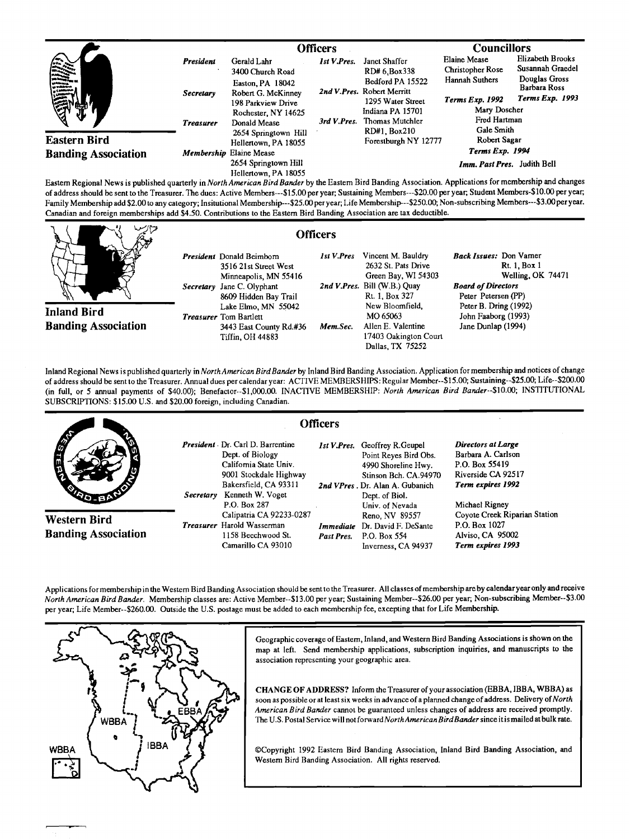|                                                                                                                                                                                                                                                                                                                                                                                                                            |                               | <b>Officers</b>                                                                 |                    |                                                                                        | <b>Councillors</b>                                                               |                                                                              |
|----------------------------------------------------------------------------------------------------------------------------------------------------------------------------------------------------------------------------------------------------------------------------------------------------------------------------------------------------------------------------------------------------------------------------|-------------------------------|---------------------------------------------------------------------------------|--------------------|----------------------------------------------------------------------------------------|----------------------------------------------------------------------------------|------------------------------------------------------------------------------|
| $\begin{array}{c}\n\sqrt{2} & \frac{1}{2} & \frac{1}{2} & \frac{1}{2} & \frac{1}{2} & \frac{1}{2} & \frac{1}{2} & \frac{1}{2} & \frac{1}{2} & \frac{1}{2} & \frac{1}{2} & \frac{1}{2} & \frac{1}{2} & \frac{1}{2} & \frac{1}{2} & \frac{1}{2} & \frac{1}{2} & \frac{1}{2} & \frac{1}{2} & \frac{1}{2} & \frac{1}{2} & \frac{1}{2} & \frac{1}{2} & \frac{1}{2} & \frac{1}{2} & \frac{1}{2} & \frac{1}{2$<br><b>Vinteres</b> | President                     | Gerald Lahr<br>3400 Church Road<br>Easton, PA 18042                             | <b>Ist V.Pres.</b> | Janet Shaffer<br>RD# 6.Box338<br>Bedford PA 15522                                      | <b>Elaine Mease</b><br><b>Christopher Rose</b><br>Hannah Suthers                 | Elizabeth Brooks<br>Susannah Graedel<br>Douglas Gross<br><b>Barbara Ross</b> |
| <b>Conduction</b>                                                                                                                                                                                                                                                                                                                                                                                                          | Secretary<br><b>Treasurer</b> | Robert G. McKinney<br>198 Parkview Drive<br>Rochester, NY 14625<br>Donald Mease | 3rd V Pres.        | 2nd V.Pres. Robert Merritt<br>1295 Water Street<br>Indiana PA 15701<br>Thomas Mutchler | <b>Terms Exp. 1993</b><br><b>Terms Exp. 1992</b><br>Mary Doscher<br>Fred Hartman |                                                                              |
| <b>Eastern Bird</b>                                                                                                                                                                                                                                                                                                                                                                                                        |                               | 2654 Springtown Hill<br>Hellertown, PA 18055                                    |                    | RD#1, Box210<br>Forestburgh NY 12777                                                   | Gale Smith<br>Robert Sagar                                                       |                                                                              |
| <b>Banding Association</b>                                                                                                                                                                                                                                                                                                                                                                                                 |                               | Membership Elaine Mease<br>2654 Springtown Hill<br>Hellertown, PA 18055         |                    |                                                                                        | Terms Exp. 1994<br>Imm. Past Pres. Judith Bell                                   |                                                                              |

**Eastern Regional News is published quarterly in North American Bird Bander by the Eastern Bird Banding Association. Applications for membership and changes of addresshould be sent to the Treasurer. The dues: Active Members---\$15.00 per year; Sustaining Members---S20.00 per year; Student Members-\$10.00 per year;**  Family Membership add \$2.00 to any category; Insitutional Membership---\$25.00 per year; Life Membership---\$250.00; Non-subscribing Members---\$3.00 per year. **Canadian and foreign memberships add \$4.50. Contributions to the Eastern Bird Banding Association are tax deductible.** 

|                            | <b>Officers</b> |                                                                                                             |                   |                                                                               |                                                                                                  |
|----------------------------|-----------------|-------------------------------------------------------------------------------------------------------------|-------------------|-------------------------------------------------------------------------------|--------------------------------------------------------------------------------------------------|
|                            |                 | <b>President</b> Donald Beimborn<br>3516 21st Street West<br>Minneapolis, MN 55416                          | <b>Ist V.Pres</b> | Vincent M. Bauldry<br>2632 St. Pats Drive<br>Green Bay, WI 54303              | <b>Back Issues:</b> Don Vamer<br>Rt. 1. Box 1<br>Welling, OK 74471                               |
| <b>Inland Bird</b>         |                 | Secretary Jane C. Olyphant<br>8609 Hidden Bay Trail<br>Lake Elmo, MN 55042<br><b>Treasurer</b> Tom Bartlett |                   | 2nd V.Pres. Bill (W.B.) Quay<br>Rt. 1, Box 327<br>New Bloomfield,<br>MO 65063 | <b>Board of Directors</b><br>Peter Petersen (PP)<br>Peter B. Dring (1992)<br>John Faaborg (1993) |
| <b>Banding Association</b> |                 | 3443 East County Rd.#36<br>Tiffin, OH 44883                                                                 | Mem.Sec.          | Allen E. Valentine<br>17403 Oakington Court<br>Dallas, TX 75252               | Jane Dunlap (1994)                                                                               |

**Inland Regional News is published quarterly in NorthAmerican Bird Bander by Inland Bird Banding Association. Application for membership and notices ofchange of addresshould be sent to the Treasurer. Annual dues per calendar year: ACTIVE MEMBERSHIPS: Regular Member--S15.00; Sustaining--S25.00; Life--S200.00 (in full, or 5 annual payments of \$40.00); Benefactor--S1,000.00. INACTIVE MEMBERSHIP: North American Bird Bander--S10.00; INSTITUTIONAL SUBSCRIPTIONS: \$15.00 U.S. and \$20.00 foreign, including Canadian.** 

|                                            | <b>Officers</b>                                                                                                                                                           |                         |                                                                                                                                                                    |                                                                                                           |
|--------------------------------------------|---------------------------------------------------------------------------------------------------------------------------------------------------------------------------|-------------------------|--------------------------------------------------------------------------------------------------------------------------------------------------------------------|-----------------------------------------------------------------------------------------------------------|
| <b>AND</b>                                 | President Dr. Carl D. Barrentine<br>Dept. of Biology<br>California State Univ.<br>9001 Stockdale Highway<br>Bakersfield, CA 93311<br>Kenneth W. Voget<br><i>Secretary</i> |                         | <b>1st V.Pres.</b> Geoffrey R.Geupel<br>Point Reyes Bird Obs.<br>4990 Shoreline Hwy.<br>Stinson Bch. CA.94970<br>2nd VPres. Dr. Alan A. Gubanich<br>Dept. of Biol. | Directors at Large<br>Barbara A. Carlson<br>P.O. Box 55419<br>Riverside CA 92517<br>Term expires 1992     |
| Western Bird<br><b>Banding Association</b> | P.O. Box 287<br>Calipatria CA 92233-0287<br><b>Treasurer</b> Harold Wasserman<br>1158 Beechwood St.<br>Camarillo CA 93010                                                 | Immediate<br>Past Pres. | Univ. of Nevada<br>Reno, NV 89557<br>Dr. David F. DeSante<br>P.O. Box 554<br>Inverness, CA 94937                                                                   | Michael Rigney<br>Coyote Creek Riparian Station<br>P.O. Box 1027<br>Alviso, CA 95002<br>Term expires 1993 |

**Applications for membership in the Westem Bird Banding Association should be sent to the Treasurer. Allclasses of membership are by calendar year only and receive North American Bird Bander. Membership classes are: Active Member--S13.00 per year; Sustaining Member--S26.00 per year; Non-subscribing Member--S3.00 per year; Life Member--S260.00. Outside the U.S. postage must be added to each membership fee, excepting that for Life Membership.** 



**Geographic coverage of Eastern, Inland, and Western Bird Banding Associations is shown on the map at left. Send membership aplications, subscription inquiries, and manuscripts to the association representing your geographic area.** 

**CHANGE OF ADDRESS? Inform the Treasurer of your association (EBBA, IBB A, WBBA) as soon as pessible or at least six weeks in advance ofa planned change of address. Delivery of North American Bird Bander cannot be guaranteed unless changes of address are received promptly. The U.S. Postal Service will not forward NorthAmerican BirdBander since it is mailed at bulk rate.** 

**¸Copyright 1992 Eastern Bird Banding Association, Inland Bird Banding Association, and Western Bird Banding Association. All rights reserved.**